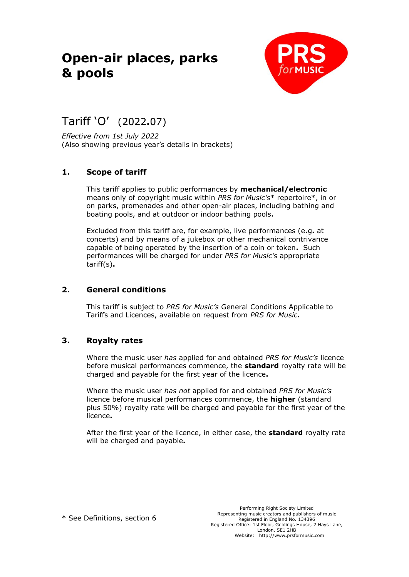# **Open-air places, parks & pools**



# Tariff 'O' (2022**.**07)

*Effective from 1st July 2022* (Also showing previous year's details in brackets)

# **1. Scope of tariff**

This tariff applies to public performances by **mechanical/electronic** means only of copyright music within *PRS for Music's*\* repertoire\*, in or on parks, promenades and other open-air places, including bathing and boating pools, and at outdoor or indoor bathing pools**.**

Excluded from this tariff are, for example, live performances (e**.**g**.** at concerts) and by means of a jukebox or other mechanical contrivance capable of being operated by the insertion of a coin or token**.** Such performances will be charged for under *PRS for Music's* appropriate tariff(s)**.**

# **2. General conditions**

This tariff is subject to *PRS for Music's* General Conditions Applicable to Tariffs and Licences, available on request from *PRS for Music***.**

# **3. Royalty rates**

Where the music user *has* applied for and obtained *PRS for Music's* licence before musical performances commence, the **standard** royalty rate will be charged and payable for the first year of the licence**.**

Where the music user *has not* applied for and obtained *PRS for Music's*  licence before musical performances commence, the **higher** (standard plus 50%) royalty rate will be charged and payable for the first year of the licence**.**

After the first year of the licence, in either case, the **standard** royalty rate will be charged and payable**.**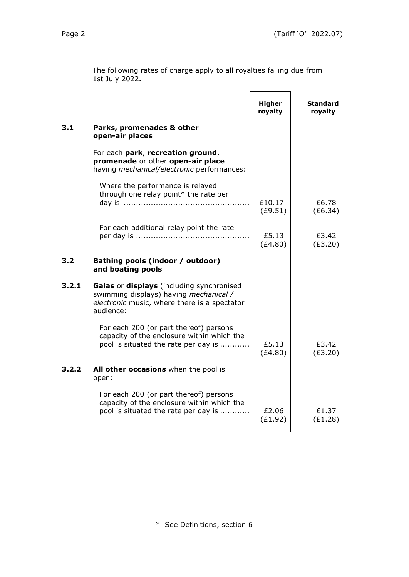(£1.28)

(£1.92)

|     | The following rates of charge apply to all royalties falling due from<br>1st July 2022.                              |                   |                            |  |
|-----|----------------------------------------------------------------------------------------------------------------------|-------------------|----------------------------|--|
|     |                                                                                                                      | Higher<br>royalty | <b>Standard</b><br>royalty |  |
| 3.1 | Parks, promenades & other<br>open-air places                                                                         |                   |                            |  |
|     | For each park, recreation ground,<br>promenade or other open-air place<br>having mechanical/electronic performances: |                   |                            |  |
|     | Where the performance is relayed<br>through one relay point* the rate per                                            | £10.17<br>(E9.51) | £6.78<br>(E6.34)           |  |
|     | For each additional relay point the rate                                                                             | £5.13<br>(E4.80)  | £3.42<br>(E3.20)           |  |
| 3.2 | Bathing pools (indoor / outdoor)<br>and boating pools                                                                |                   |                            |  |
|     | Calas or displays (including synchronised                                                                            |                   |                            |  |

#### **3.2.1 Galas** or **displays** (including synchronised swimming displays) having *mechanical / electronic* music, where there is a spectator audience: For each 200 (or part thereof) persons capacity of the enclosure within which the pool is situated the rate per day is  $\dots\dots\dots\dots$   $\qquad$  £5.13 (£4.80) £3.42 (£3.20) **3.2.2 All other occasions** when the pool is open: For each 200 (or part thereof) persons capacity of the enclosure within which the pool is situated the rate per day is ................ £2.06 £1.37